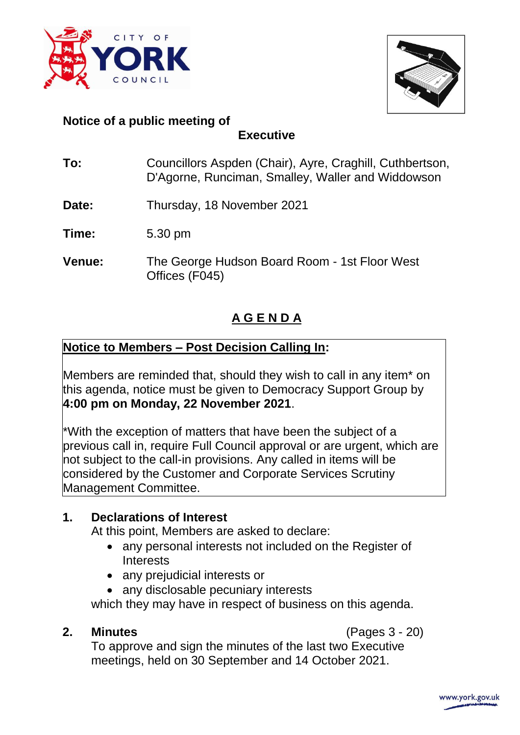



### **Notice of a public meeting of**

**Executive**

- **To:** Councillors Aspden (Chair), Ayre, Craghill, Cuthbertson, D'Agorne, Runciman, Smalley, Waller and Widdowson
- **Date:** Thursday, 18 November 2021
- **Time:** 5.30 pm
- **Venue:** The George Hudson Board Room 1st Floor West Offices (F045)

# **A G E N D A**

## **Notice to Members – Post Decision Calling In:**

Members are reminded that, should they wish to call in any item\* on this agenda, notice must be given to Democracy Support Group by **4:00 pm on Monday, 22 November 2021**.

\*With the exception of matters that have been the subject of a previous call in, require Full Council approval or are urgent, which are not subject to the call-in provisions. Any called in items will be considered by the Customer and Corporate Services Scrutiny Management Committee.

## **1. Declarations of Interest**

At this point, Members are asked to declare:

- any personal interests not included on the Register of **Interests**
- any prejudicial interests or
- any disclosable pecuniary interests

which they may have in respect of business on this agenda.

**2. Minutes** (Pages 3 - 20)

To approve and sign the minutes of the last two Executive meetings, held on 30 September and 14 October 2021.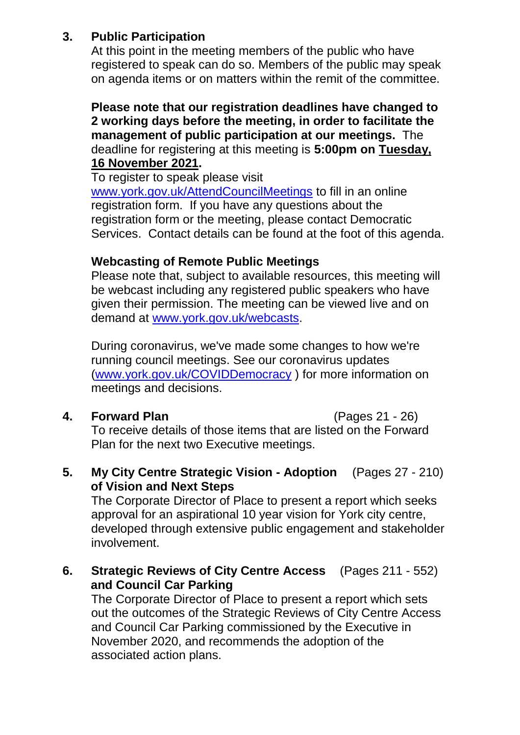### **3. Public Participation**

At this point in the meeting members of the public who have registered to speak can do so. Members of the public may speak on agenda items or on matters within the remit of the committee.

**Please note that our registration deadlines have changed to 2 working days before the meeting, in order to facilitate the management of public participation at our meetings.** The deadline for registering at this meeting is **5:00pm on Tuesday, 16 November 2021.**

To register to speak please visit

[www.york.gov.uk/AttendCouncilMeetings](http://www.york.gov.uk/AttendCouncilMeetings) to fill in an online registration form. If you have any questions about the registration form or the meeting, please contact Democratic Services. Contact details can be found at the foot of this agenda.

### **Webcasting of Remote Public Meetings**

Please note that, subject to available resources, this meeting will be webcast including any registered public speakers who have given their permission. The meeting can be viewed live and on demand at [www.york.gov.uk/webcasts.](http://www.york.gov.uk/webcasts)

During coronavirus, we've made some changes to how we're running council meetings. See our coronavirus updates [\(www.york.gov.uk/COVIDDemocracy](http://www.york.gov.uk/COVIDDemocracy) ) for more information on meetings and decisions.

### **4. Forward Plan** (Pages 21 - 26)

To receive details of those items that are listed on the Forward Plan for the next two Executive meetings.

**5. My City Centre Strategic Vision - Adoption** (Pages 27 - 210) **of Vision and Next Steps** 

The Corporate Director of Place to present a report which seeks approval for an aspirational 10 year vision for York city centre, developed through extensive public engagement and stakeholder involvement.

**6. Strategic Reviews of City Centre Access** (Pages 211 - 552) **and Council Car Parking** 

The Corporate Director of Place to present a report which sets out the outcomes of the Strategic Reviews of City Centre Access and Council Car Parking commissioned by the Executive in November 2020, and recommends the adoption of the associated action plans.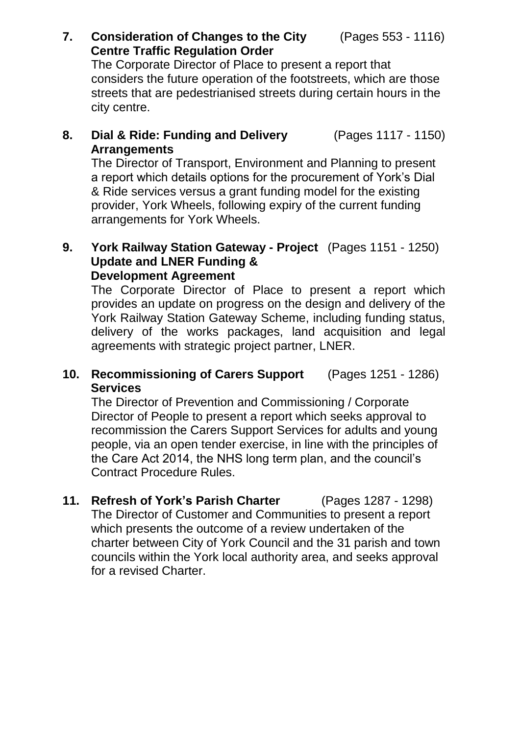(Pages 553 - 1116)

### **7. Consideration of Changes to the City Centre Traffic Regulation Order**

The Corporate Director of Place to present a report that considers the future operation of the footstreets, which are those streets that are pedestrianised streets during certain hours in the city centre.

#### **8. Dial & Ride: Funding and Delivery Arrangements**  (Pages 1117 - 1150)

The Director of Transport, Environment and Planning to present a report which details options for the procurement of York's Dial & Ride services versus a grant funding model for the existing provider, York Wheels, following expiry of the current funding arrangements for York Wheels.

### **9. York Railway Station Gateway - Project** (Pages 1151 - 1250) **Update and LNER Funding & Development Agreement**

The Corporate Director of Place to present a report which provides an update on progress on the design and delivery of the York Railway Station Gateway Scheme, including funding status, delivery of the works packages, land acquisition and legal agreements with strategic project partner, LNER.

#### **10. Recommissioning of Carers Support Services**  (Pages 1251 - 1286)

The Director of Prevention and Commissioning / Corporate Director of People to present a report which seeks approval to recommission the Carers Support Services for adults and young people, via an open tender exercise, in line with the principles of the Care Act 2014, the NHS long term plan, and the council's Contract Procedure Rules.

**11. Refresh of York's Parish Charter** (Pages 1287 - 1298) The Director of Customer and Communities to present a report which presents the outcome of a review undertaken of the charter between City of York Council and the 31 parish and town councils within the York local authority area, and seeks approval for a revised Charter.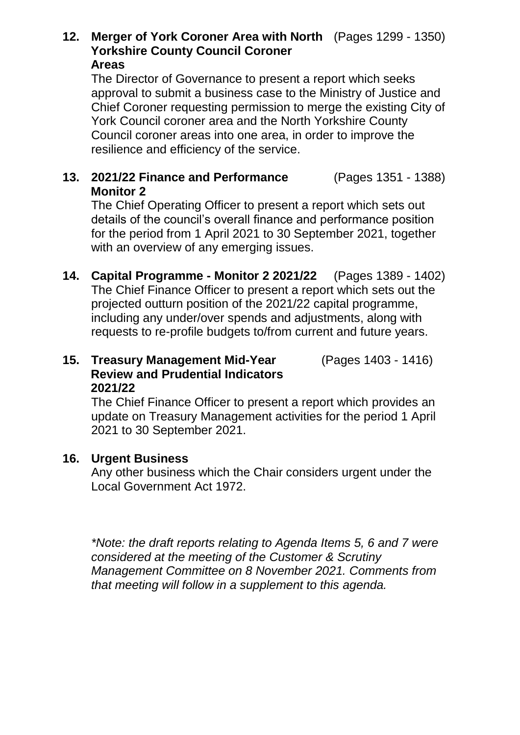### **12. Merger of York Coroner Area with North** (Pages 1299 - 1350) **Yorkshire County Council Coroner Areas**

The Director of Governance to present a report which seeks approval to submit a business case to the Ministry of Justice and Chief Coroner requesting permission to merge the existing City of York Council coroner area and the North Yorkshire County Council coroner areas into one area, in order to improve the resilience and efficiency of the service.

#### **13. 2021/22 Finance and Performance Monitor 2**  (Pages 1351 - 1388)

The Chief Operating Officer to present a report which sets out details of the council's overall finance and performance position for the period from 1 April 2021 to 30 September 2021, together with an overview of any emerging issues.

**14. Capital Programme - Monitor 2 2021/22** (Pages 1389 - 1402) The Chief Finance Officer to present a report which sets out the projected outturn position of the 2021/22 capital programme, including any under/over spends and adjustments, along with requests to re-profile budgets to/from current and future years.

### **15. Treasury Management Mid-Year Review and Prudential Indicators 2021/22**  (Pages 1403 - 1416)

The Chief Finance Officer to present a report which provides an update on Treasury Management activities for the period 1 April 2021 to 30 September 2021.

### **16. Urgent Business**

Any other business which the Chair considers urgent under the Local Government Act 1972.

*\*Note: the draft reports relating to Agenda Items 5, 6 and 7 were considered at the meeting of the Customer & Scrutiny Management Committee on 8 November 2021. Comments from that meeting will follow in a supplement to this agenda.*